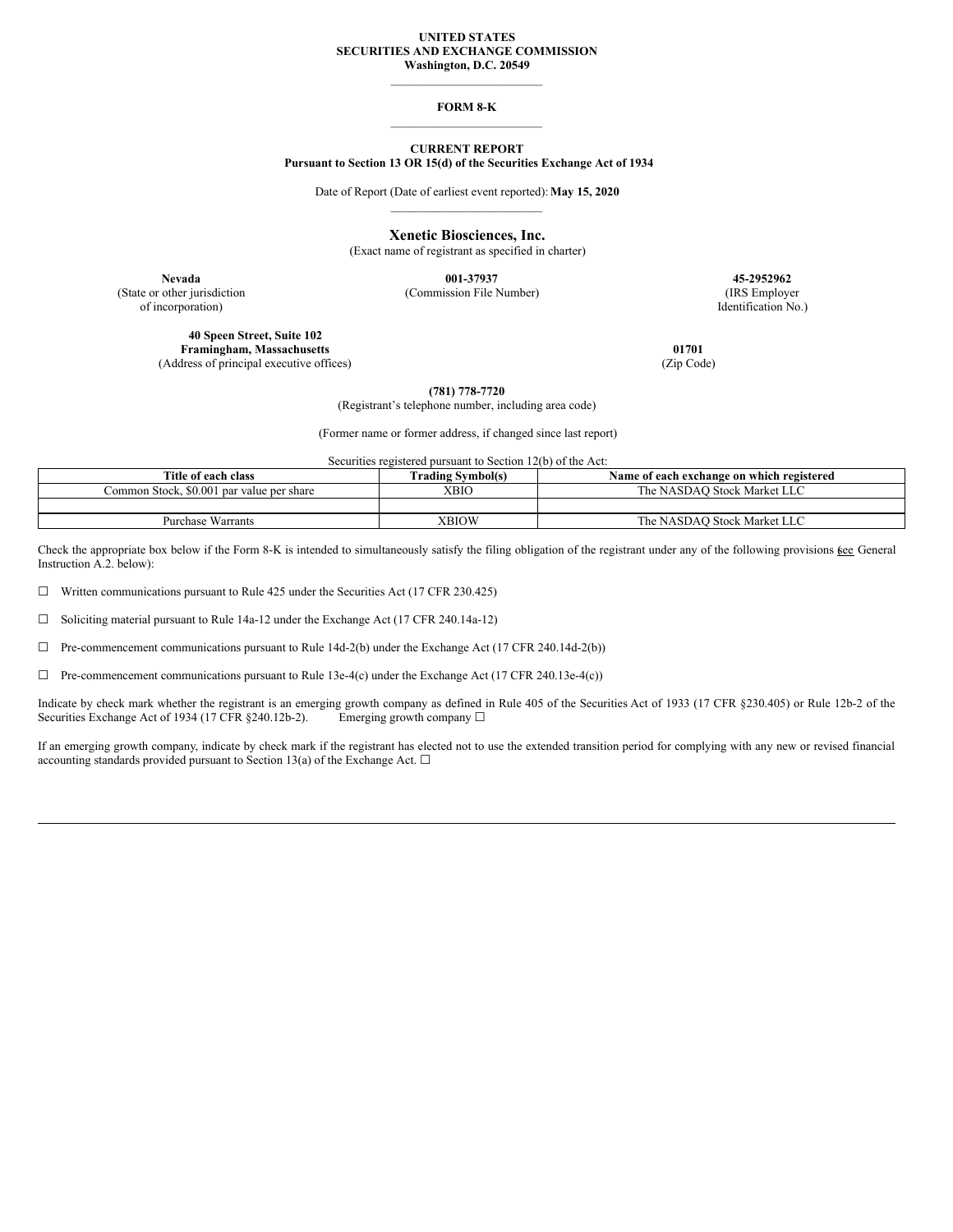### **UNITED STATES SECURITIES AND EXCHANGE COMMISSION Washington, D.C. 20549**

\_\_\_\_\_\_\_\_\_\_\_\_\_\_\_\_\_\_\_\_\_\_\_\_\_

### **FORM 8-K** \_\_\_\_\_\_\_\_\_\_\_\_\_\_\_\_\_\_\_\_\_\_\_\_\_

### **CURRENT REPORT Pursuant to Section 13 OR 15(d) of the Securities Exchange Act of 1934**

Date of Report (Date of earliest event reported):**May 15, 2020** \_\_\_\_\_\_\_\_\_\_\_\_\_\_\_\_\_\_\_\_\_\_\_\_\_

**Xenetic Biosciences, Inc.**

(Exact name of registrant as specified in charter)

of incorporation) Identification No.)

(State or other jurisdiction (Commission File Number) (IRS Employer

**Nevada 001-37937 45-2952962**

**40 Speen Street, Suite 102 Framingham, Massachusetts 01701** (Address of principal executive offices) (Zip Code)

**(781) 778-7720**

(Registrant's telephone number, including area code)

(Former name or former address, if changed since last report)

Securities registered pursuant to Section 12(b) of the Act:

| Title of each class                       | <b>Trading Symbol(s)</b> | Name of each exchange on which registered |
|-------------------------------------------|--------------------------|-------------------------------------------|
| Common Stock, \$0,001 par value per share | <b>XBIO</b>              | The NASDAO Stock Market LLC               |
|                                           |                          |                                           |
| <b>Purchase Warrants</b>                  | XBIOW                    | The NASDAO Stock Market LLC               |

Check the appropriate box below if the Form 8-K is intended to simultaneously satisfy the filing obligation of the registrant under any of the following provisions kee General Instruction A.2. below):

☐ Written communications pursuant to Rule 425 under the Securities Act (17 CFR 230.425)

 $\Box$  Soliciting material pursuant to Rule 14a-12 under the Exchange Act (17 CFR 240.14a-12)

☐ Pre-commencement communications pursuant to Rule 14d-2(b) under the Exchange Act (17 CFR 240.14d-2(b))

☐ Pre-commencement communications pursuant to Rule 13e-4(c) under the Exchange Act (17 CFR 240.13e-4(c))

Indicate by check mark whether the registrant is an emerging growth company as defined in Rule 405 of the Securities Act of 1933 (17 CFR §230.405) or Rule 12b-2 of the Securities Exchange Act of 1934 (17 CFR §240.12b-2). Emerging growth company □

If an emerging growth company, indicate by check mark if the registrant has elected not to use the extended transition period for complying with any new or revised financial accounting standards provided pursuant to Section 13(a) of the Exchange Act.  $\square$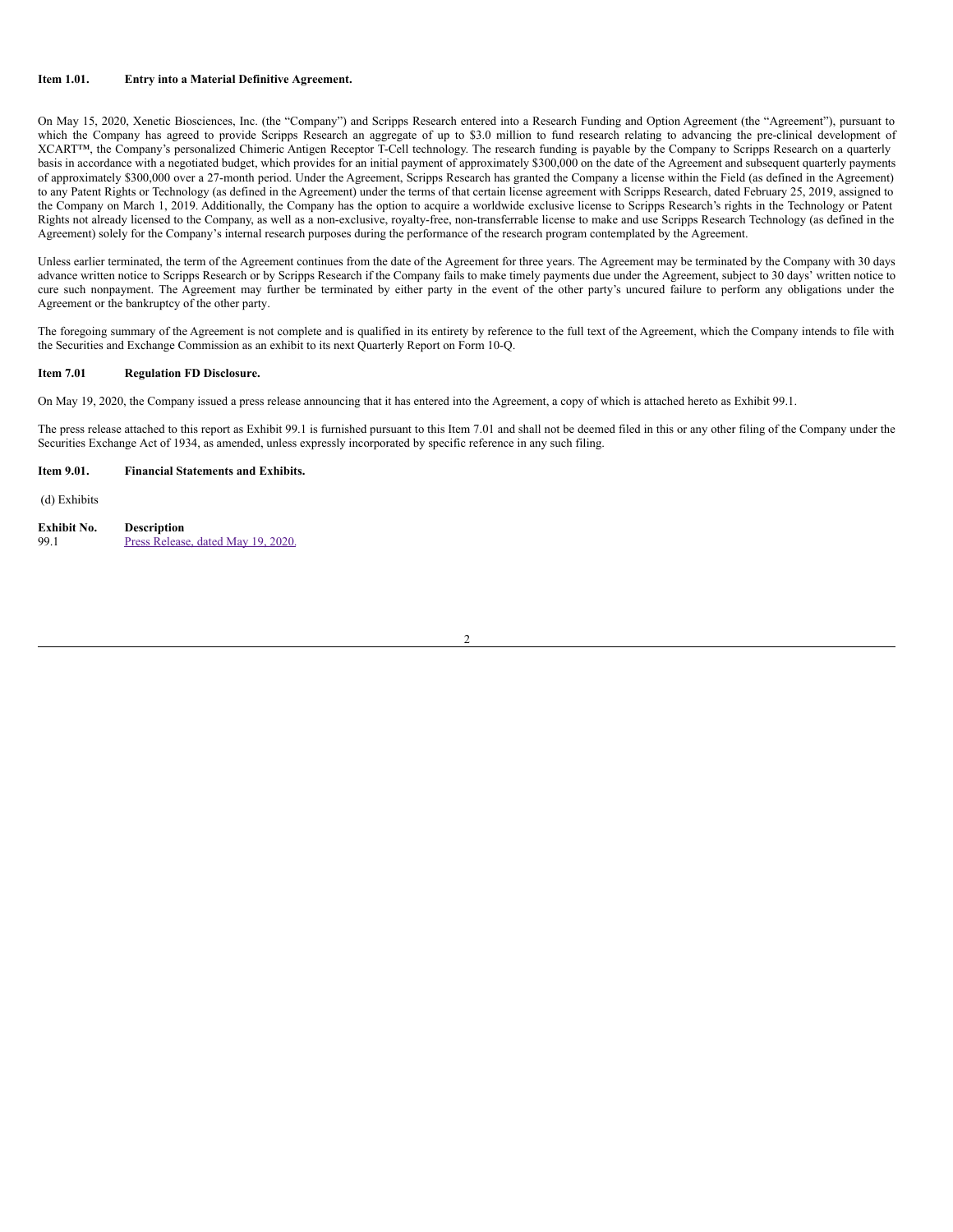## **Item 1.01. Entry into a Material Definitive Agreement.**

On May 15, 2020, Xenetic Biosciences, Inc. (the "Company") and Scripps Research entered into a Research Funding and Option Agreement (the "Agreement"), pursuant to which the Company has agreed to provide Scripps Research an aggregate of up to \$3.0 million to fund research relating to advancing the pre-clinical development of XCART™, the Company's personalized Chimeric Antigen Receptor T-Cell technology. The research funding is payable by the Company to Scripps Research on a quarterly basis in accordance with a negotiated budget, which provides for an initial payment of approximately \$300,000 on the date of the Agreement and subsequent quarterly payments of approximately \$300,000 over a 27-month period. Under the Agreement, Scripps Research has granted the Company a license within the Field (as defined in the Agreement) to any Patent Rights or Technology (as defined in the Agreement) under the terms of that certain license agreement with Scripps Research, dated February 25, 2019, assigned to the Company on March 1, 2019. Additionally, the Company has the option to acquire a worldwide exclusive license to Scripps Research's rights in the Technology or Patent Rights not already licensed to the Company, as well as a non-exclusive, royalty-free, non-transferrable license to make and use Scripps Research Technology (as defined in the Agreement) solely for the Company's internal research purposes during the performance of the research program contemplated by the Agreement.

Unless earlier terminated, the term of the Agreement continues from the date of the Agreement for three years. The Agreement may be terminated by the Company with 30 days advance written notice to Scripps Research or by Scripps Research if the Company fails to make timely payments due under the Agreement, subject to 30 days' written notice to cure such nonpayment. The Agreement may further be terminated by either party in the event of the other party's uncured failure to perform any obligations under the Agreement or the bankruptcy of the other party.

The foregoing summary of the Agreement is not complete and is qualified in its entirety by reference to the full text of the Agreement, which the Company intends to file with the Securities and Exchange Commission as an exhibit to its next Quarterly Report on Form 10-Q.

## **Item 7.01 Regulation FD Disclosure.**

On May 19, 2020, the Company issued a press release announcing that it has entered into the Agreement, a copy of which is attached hereto as Exhibit 99.1.

The press release attached to this report as Exhibit 99.1 is furnished pursuant to this Item 7.01 and shall not be deemed filed in this or any other filing of the Company under the Securities Exchange Act of 1934, as amended, unless expressly incorporated by specific reference in any such filing.

### **Item 9.01. Financial Statements and Exhibits.**

(d) Exhibits

| Exhibit No. | <b>Description</b>                 |
|-------------|------------------------------------|
| 99.1        | Press Release, dated May 19, 2020. |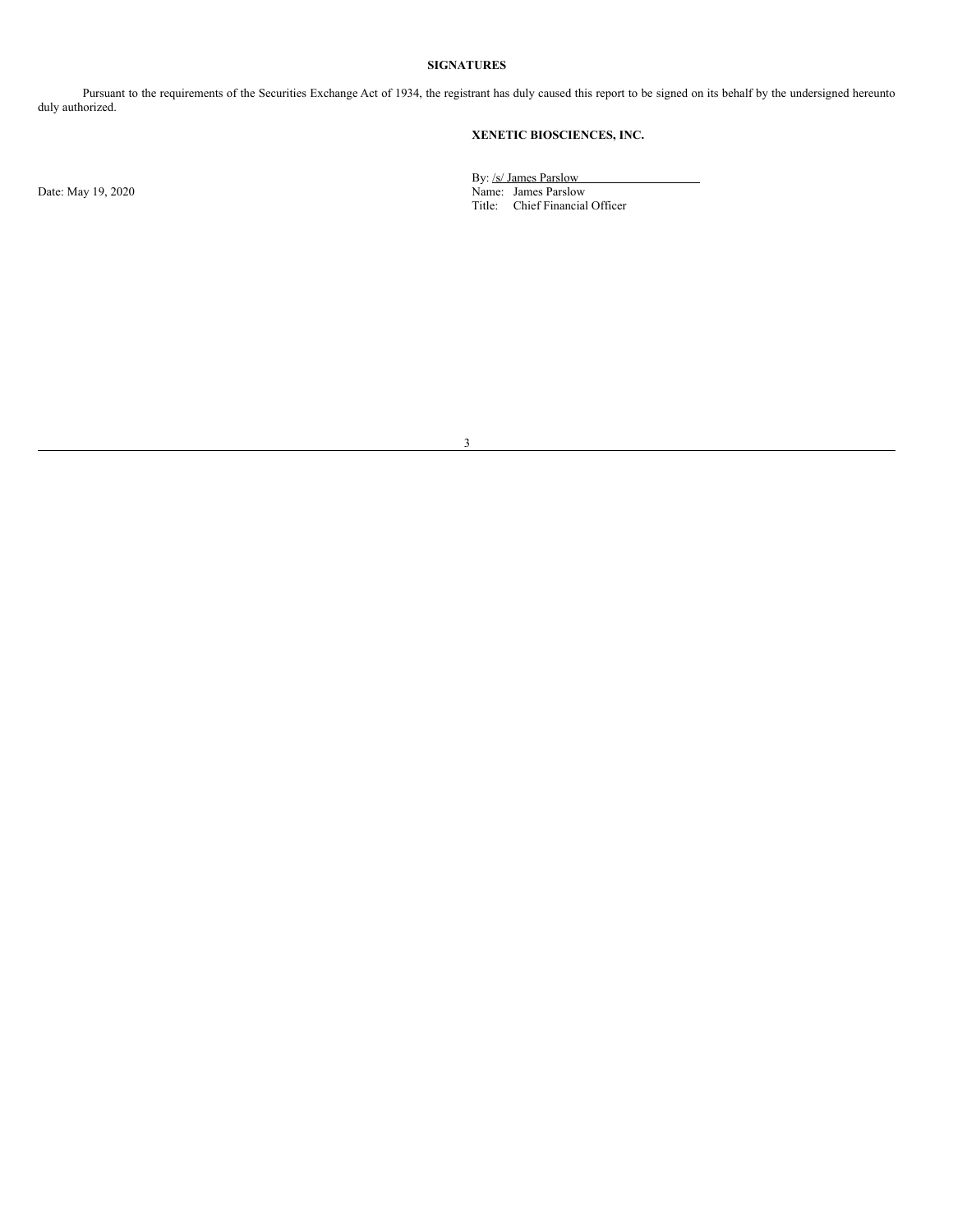## **SIGNATURES**

Pursuant to the requirements of the Securities Exchange Act of 1934, the registrant has duly caused this report to be signed on its behalf by the undersigned hereunto duly authorized.

# **XENETIC BIOSCIENCES, INC.**

By: /s/ James Parslow Date: May 19, 2020 Name: James Parslow Title: Chief Financial Officer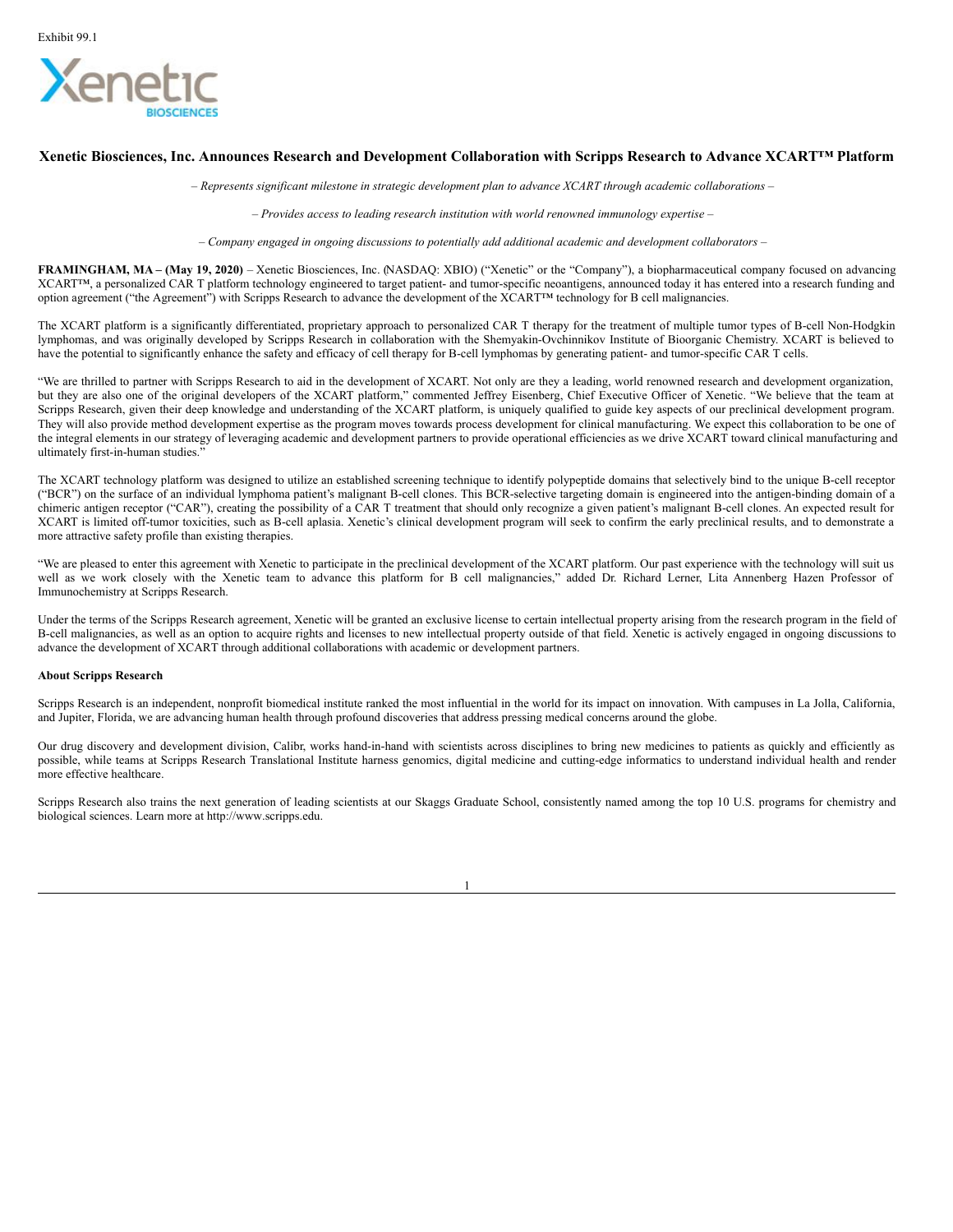<span id="page-3-0"></span>

## Xenetic Biosciences, Inc. Announces Research and Development Collaboration with Scripps Research to Advance XCART<sup>IM</sup> Platform

*– Represents significant milestone in strategic development plan to advance XCART through academic collaborations –*

*– Provides access to leading research institution with world renowned immunology expertise –*

*– Company engaged in ongoing discussions to potentially add additional academic and development collaborators –*

**FRAMINGHAM, MA – (May 19, 2020)** – Xenetic Biosciences, Inc. (NASDAQ: XBIO) ("Xenetic" or the "Company"), a biopharmaceutical company focused on advancing XCART™, a personalized CAR T platform technology engineered to target patient- and tumor-specific neoantigens, announced today it has entered into a research funding and option agreement ("the Agreement") with Scripps Research to advance the development of the XCART™ technology for B cell malignancies.

The XCART platform is a significantly differentiated, proprietary approach to personalized CAR T therapy for the treatment of multiple tumor types of B-cell Non-Hodgkin lymphomas, and was originally developed by Scripps Research in collaboration with the Shemyakin-Ovchinnikov Institute of Bioorganic Chemistry. XCART is believed to have the potential to significantly enhance the safety and efficacy of cell therapy for B-cell lymphomas by generating patient- and tumor-specific CAR T cells.

"We are thrilled to partner with Scripps Research to aid in the development of XCART. Not only are they a leading, world renowned research and development organization, but they are also one of the original developers of the XCART platform," commented Jeffrey Eisenberg, Chief Executive Officer of Xenetic. "We believe that the team at Scripps Research, given their deep knowledge and understanding of the XCART platform, is uniquely qualified to guide key aspects of our preclinical development program. They will also provide method development expertise as the program moves towards process development for clinical manufacturing. We expect this collaboration to be one of the integral elements in our strategy of leveraging academic and development partners to provide operational efficiencies as we drive XCART toward clinical manufacturing and ultimately first-in-human studies."

The XCART technology platform was designed to utilize an established screening technique to identify polypeptide domains that selectively bind to the unique B-cell receptor ("BCR") on the surface of an individual lymphoma patient's malignant B-cell clones. This BCR-selective targeting domain is engineered into the antigen-binding domain of a chimeric antigen receptor ("CAR"), creating the possibility of a CAR T treatment that should only recognize a given patient's malignant B-cell clones. An expected result for XCART is limited off-tumor toxicities, such as B-cell aplasia. Xenetic's clinical development program will seek to confirm the early preclinical results, and to demonstrate a more attractive safety profile than existing therapies.

"We are pleased to enter this agreement with Xenetic to participate in the preclinical development of the XCART platform. Our past experience with the technology will suit us well as we work closely with the Xenetic team to advance this platform for B cell malignancies," added Dr. Richard Lerner, Lita Annenberg Hazen Professor of Immunochemistry at Scripps Research.

Under the terms of the Scripps Research agreement, Xenetic will be granted an exclusive license to certain intellectual property arising from the research program in the field of B-cell malignancies, as well as an option to acquire rights and licenses to new intellectual property outside of that field. Xenetic is actively engaged in ongoing discussions to advance the development of XCART through additional collaborations with academic or development partners.

### **About Scripps Research**

Scripps Research is an independent, nonprofit biomedical institute ranked the most influential in the world for its impact on innovation. With campuses in La Jolla, California, and Jupiter, Florida, we are advancing human health through profound discoveries that address pressing medical concerns around the globe.

Our drug discovery and development division, Calibr, works hand-in-hand with scientists across disciplines to bring new medicines to patients as quickly and efficiently as possible, while teams at Scripps Research Translational Institute harness genomics, digital medicine and cutting-edge informatics to understand individual health and render more effective healthcare.

Scripps Research also trains the next generation of leading scientists at our Skaggs Graduate School, consistently named among the top 10 U.S. programs for chemistry and biological sciences. Learn more at http://www.scripps.edu.

1